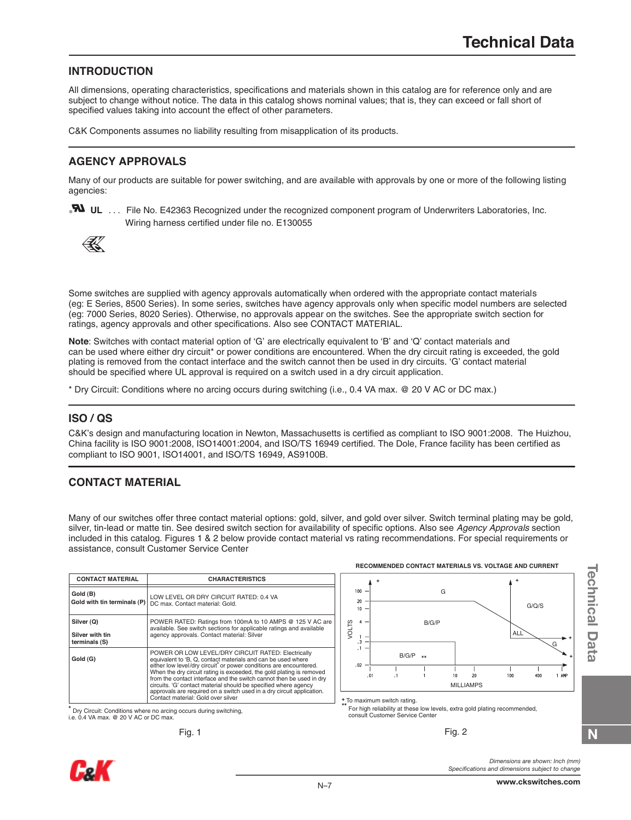# **INTRODUCTION**

All dimensions, operating characteristics, specifications and materials shown in this catalog are for reference only and are subject to change without notice. The data in this catalog shows nominal values; that is, they can exceed or fall short of specified values taking into account the effect of other parameters.

C&K Components assumes no liability resulting from misapplication of its products.

# **AGENCY APPROVALS**

Many of our products are suitable for power switching, and are available with approvals by one or more of the following listing agencies:

**N** UL ... File No. E42363 Recognized under the recognized component program of Underwriters Laboratories, Inc. Wiring harness certified under file no. E130055



Some switches are supplied with agency approvals automatically when ordered with the appropriate contact materials (eg: E Series, 8500 Series). In some series, switches have agency approvals only when specific model numbers are selected (eg: 7000 Series, 8020 Series). Otherwise, no approvals appear on the switches. See the appropriate switch section for ratings, agency approvals and other specifications. Also see CONTACT MATERIAL.

**Note**: Switches with contact material option of 'G' are electrically equivalent to 'B' and 'Q' contact materials and can be used where either dry circuit\* or power conditions are encountered. When the dry circuit rating is exceeded, the gold plating is removed from the contact interface and the switch cannot then be used in dry circuits. 'G' contact material should be specified where UL approval is required on a switch used in a dry circuit application.

\* Dry Circuit: Conditions where no arcing occurs during switching (i.e., 0.4 VA max. @ 20 V AC or DC max.)

## **ISO / QS**

C&K's design and manufacturing location in Newton, Massachusetts is certified as compliant to ISO 9001:2008. The Huizhou, China facility is ISO 9001:2008, ISO14001:2004, and ISO/TS 16949 certified. The Dole, France facility has been certified as compliant to ISO 9001, ISO14001, and ISO/TS 16949, AS9100B.

# **CONTACT MATERIAL**

Many of our switches offer three contact material options: gold, silver, and gold over silver. Switch terminal plating may be gold, silver, tin-lead or matte tin. See desired switch section for availability of specific options. Also see *Agency Approvals* section included in this catalog. Figures 1 & 2 below provide contact material vs rating recommendations. For special requirements or assistance, consult Customer Service Center .

| <b>CONTACT MATERIAL</b>                        | <b>CHARACTERISTICS</b>                                                                                                                                                                                                                                                                                                                                                                                                                                                                                                                 |
|------------------------------------------------|----------------------------------------------------------------------------------------------------------------------------------------------------------------------------------------------------------------------------------------------------------------------------------------------------------------------------------------------------------------------------------------------------------------------------------------------------------------------------------------------------------------------------------------|
| Gold (B)<br>Gold with tin terminals (P)        | LOW LEVEL OR DRY CIRCUIT RATED: 0.4 VA<br>DC max. Contact material: Gold.                                                                                                                                                                                                                                                                                                                                                                                                                                                              |
| Silver (Q)<br>Silver with tin<br>terminals (S) | POWER RATED: Ratings from 100mA to 10 AMPS @ 125 V AC are<br>available. See switch sections for applicable ratings and available<br>agency approvals. Contact material: Silver                                                                                                                                                                                                                                                                                                                                                         |
| Gold (G)                                       | POWER OR LOW LEVEL/DRY CIRCUIT RATED: Electrically<br>equivalent to 'B, Q, contact materials and can be used where<br>either low level/dry circuit <sup>*</sup> or power conditions are encountered.<br>When the dry circuit rating is exceeded, the gold plating is removed<br>from the contact interface and the switch cannot then be used in dry<br>circuits. 'G' contact material should be specified where agency<br>approvals are required on a switch used in a dry circuit application.<br>Contact material: Gold over silver |

**\*** Dry Circuit: Conditions where no arcing occurs during switching, i.e. 0.4 VA max. @ 20 V AC or DC max.

**RECOMMENDED CONTACT MATERIALS VS. VOLTAGE AND CURRENT**



**+** To maximum switch rating.

For high reliability at these low levels, extra gold plating recommended, consult Customer Service Center.

Fig. 1 Fig. 2



*Dimensions are shown: Inch (mm) Specifications and dimensions subject to change* **Technical Data**

**Technical Data** 

**N**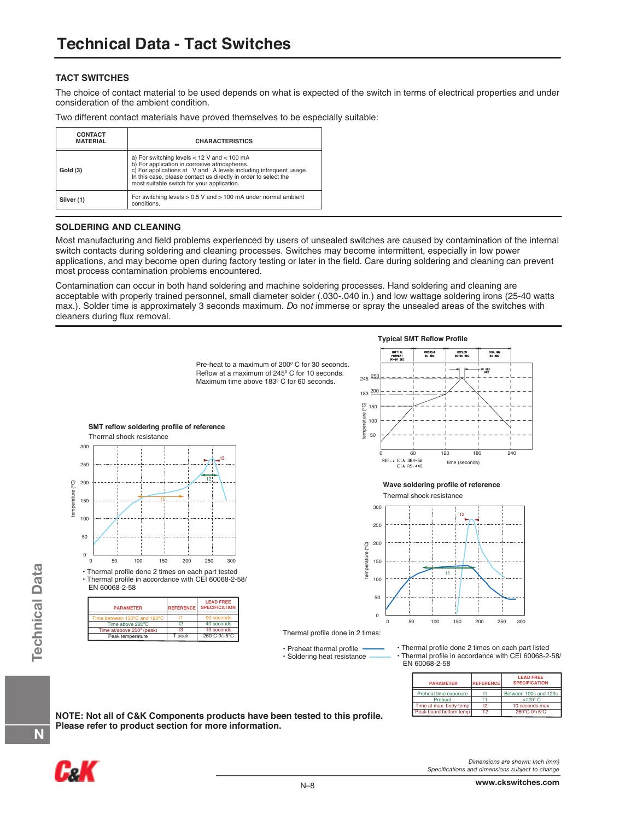### **TACT SWITCHES**

The choice of contact material to be used depends on what is expected of the switch in terms of electrical properties and under consideration of the ambient condition.

| Two different contact materials have proved themselves to be especially suitable: |  |  |  |  |
|-----------------------------------------------------------------------------------|--|--|--|--|
|                                                                                   |  |  |  |  |

| <b>CONTACT</b><br><b>MATERIAL</b> | <b>CHARACTERISTICS</b>                                                                                                                                                                                                                                                                |  |  |  |  |
|-----------------------------------|---------------------------------------------------------------------------------------------------------------------------------------------------------------------------------------------------------------------------------------------------------------------------------------|--|--|--|--|
| Gold (3)                          | a) For switching levels $<$ 12 V and $<$ 100 mA<br>b) For application in corrosive atmospheres.<br>c) For applications at V and A levels including infrequent usage.<br>In this case, please contact us directly in order to select the<br>most suitable switch for your application. |  |  |  |  |
| Silver (1)                        | For switching levels $> 0.5$ V and $> 100$ mA under normal ambient<br>conditions.                                                                                                                                                                                                     |  |  |  |  |

#### **SOLDERING AND CLEANING**

Most manufacturing and field problems experienced by users of unsealed switches are caused by contamination of the internal switch contacts during soldering and cleaning processes. Switches may become intermittent, especially in low power applications, and may become open during factory testing or later in the field. Care during soldering and cleaning can prevent most process contamination problems encountered.

Contamination can occur in both hand soldering and machine soldering processes. Hand soldering and cleaning are acceptable with properly trained personnel, small diameter solder (.030-.040 in.) and low wattage soldering irons (25-40 watts max.). Solder time is approximately 3 seconds maximum. *Do not* immerse or spray the unsealed areas of the switches with cleaners during flux removal.



**NOTE: Not all of C&K Components products have been tested to this profile. Please refer to product section for more information.** 



**N**

*Dimensions are shown: Inch (mm) Specifications and dimensions subject to change*

T2

Peak board bottom temp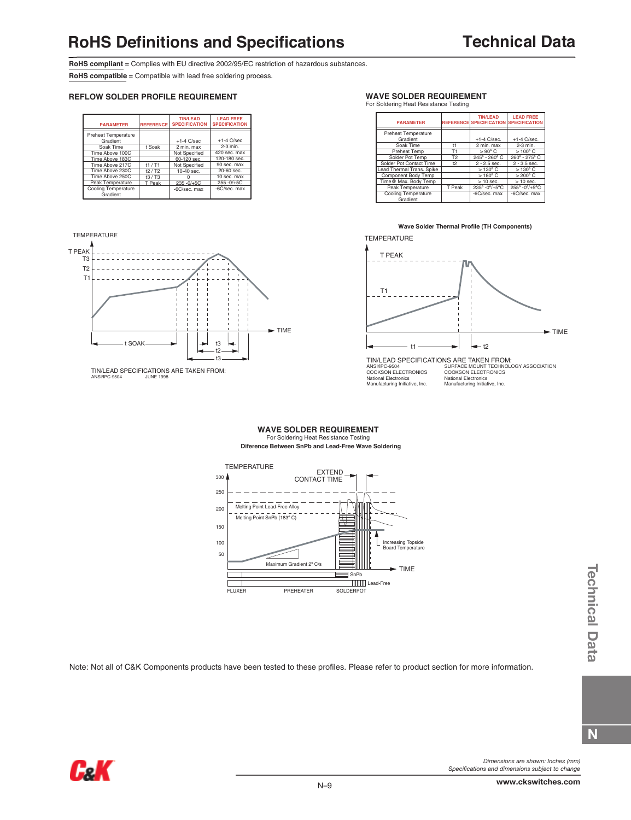**RoHS compliant** = Complies with EU directive 2002/95/EC restriction of hazardous substances.

**RoHS compatible** = Compatible with lead free soldering process.

#### **REFLOW SOLDER PROFILE REQUIREMENT**

| <b>PARAMETER</b>                       | <b>REFERENCE</b> | <b>TIN/LEAD</b><br><b>SPECIFICATION</b> | <b>LEAD FREE</b><br><b>SPECIFICATION</b> |
|----------------------------------------|------------------|-----------------------------------------|------------------------------------------|
| Preheat Temperature<br>Gradient        |                  | $+1-4$ C/sec                            | $+1-4$ C/sec                             |
| Soak Time                              | t Soak           | 2 min. max                              | $2-3$ min.                               |
| Time Above 100C                        |                  | Not Specified                           | 420 sec. max                             |
| Time Above 183C                        |                  | 60-120 sec.                             | 120-180 sec.                             |
| Time Above 217C                        | t1/71            | Not Specified                           | 90 sec. max                              |
| Time Above 230C                        | $t2/$ T2         | $10-40$ sec.                            | $20 - 60$ sec.                           |
| Time Above 250C                        | $t3/$ T3         |                                         | 10 sec. max                              |
| Peak Temperature                       | T Peak           | 235-0/+5C                               | $255 - 0/+5C$                            |
| <b>Cooling Temperature</b><br>Gradient |                  | -6C/sec. max                            | -6C/sec. max                             |





TIN/LEAD SPECIFICATIONS ARE TAKEN FROM: ANSI/IPC-9504 JUNE 1998

#### **WAVE SOLDER REQUIREMENT**

For Soldering Heat Resistance Testing

| <b>PARAMETER</b>                       |                | <b>TIN/LEAD</b><br><b>REFERENCE SPECIFICATION SPECIFICATION</b> | <b>LEAD FREE</b> |
|----------------------------------------|----------------|-----------------------------------------------------------------|------------------|
| Preheat Temperature<br>Gradient        |                | $+1-4$ C/sec.                                                   | $+1-4$ C/sec.    |
| Soak Time                              | $^{\dagger}$ 1 | 2 min. max                                                      | 2-3 min.         |
| Preheat Temp                           | T1             | $> 90^{\circ}$ C                                                | $>100^{\circ}$ C |
| Solder Pot Temp                        | T <sub>2</sub> | 245° - 260° C                                                   | 260° - 275° C    |
| Solder Pot Contact Time                | 12             | $2 - 2.5$ sec.                                                  | $2 - 3.5$ sec.   |
| Lead Thermal Trans, Spike              |                | $>130^{\circ}$ C                                                | $>130^{\circ}$ C |
| Component Body Temp                    |                | $>180^{\circ}$ C                                                | $>200^{\circ}$ C |
| Time@ Max, Body Temp                   |                | $>10$ sec.                                                      | $>10$ sec.       |
| Peak Temperature                       | T Peak         | 235° -0%+5°C                                                    | 255° -0°/+5°C    |
| <b>Cooling Temperature</b><br>Gradient |                | -6C/sec. max                                                    | -6C/sec. max     |

#### **Wave Solder Thermal Profile (TH Components)**

**TEMPERATURE** 



#### **WAVE SOLDER REQUIREMENT** For Soldering Heat Resistance Testing **Diference Between SnPb and Lead-Free Wave Soldering**



Note: Not all of C&K Components products have been tested to these profiles. Please refer to product section for more information.



*Dimensions are shown: Inches (mm) Specifications and dimensions subject to change*